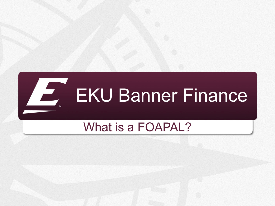

#### What is a FOAPAL?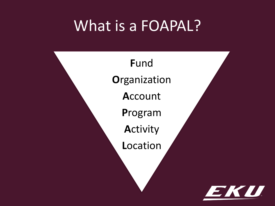#### What is a FOAPAL?

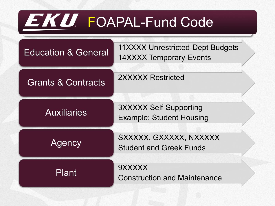## EKU FOAPAL-Fund Code

| <b>Education &amp; General</b> | 11XXXX Unrestricted-Dept Budgets<br>14XXXX Temporary-Events      |
|--------------------------------|------------------------------------------------------------------|
| <b>Grants &amp; Contracts</b>  | 2XXXXX Restricted                                                |
| <b>Auxiliaries</b>             | <b>3XXXXX Self-Supporting</b><br><b>Example: Student Housing</b> |
| Agency                         | SXXXXX, GXXXXX, NXXXXX<br><b>Student and Greek Funds</b>         |
| <b>Plant</b>                   | 9XXXXX<br><b>Construction and Maintenance</b>                    |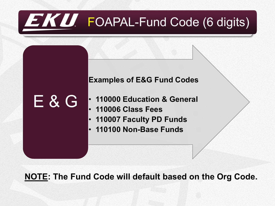### EKU. FOAPAL-Fund Code (6 digits)



**NOTE: The Fund Code will default based on the Org Code.**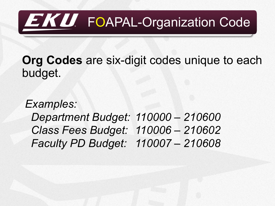## **EKU** FOAPAL-Organization Code

**Org Codes** are six-digit codes unique to each budget.

*Examples: Department Budget: 110000 – 210600 Class Fees Budget: 110006 – 210602 Faculty PD Budget: 110007 – 210608*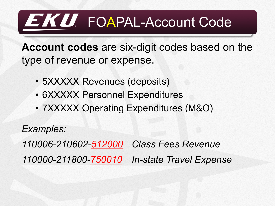### EKU. FOAPAL-Account Code

**Account codes** are six-digit codes based on the type of revenue or expense.

- 5XXXXX Revenues (deposits)
- 6XXXXX Personnel Expenditures
- 7XXXXX Operating Expenditures (M&O)

*Examples:*

*110006-210602-512000 Class Fees Revenue 110000-211800-750010 In-state Travel Expense*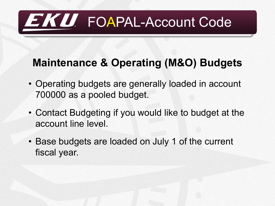## EKU FOAPAL-Account Code

#### **Maintenance & Operating (M&O) Budgets**

- Operating budgets are generally loaded in account 700000 as a pooled budget.
- Contact Budgeting if you would like to budget at the account line level.
- Base budgets are loaded on July 1 of the current fiscal year.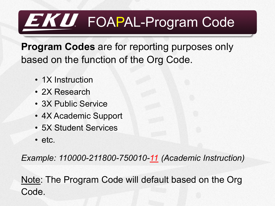### EKU. FOAPAL-Program Code

**Program Codes** are for reporting purposes only based on the function of the Org Code.

- 1X Instruction
- 2X Research
- 3X Public Service
- 4X Academic Support
- 5X Student Services
- etc.

*Example: 110000-211800-750010-11 (Academic Instruction)*

Note: The Program Code will default based on the Org Code.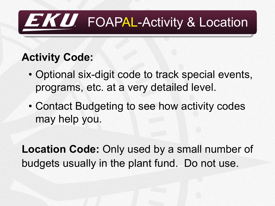## EKU. FOAPAL-Activity & Location

#### **Activity Code:**

- Optional six-digit code to track special events, programs, etc. at a very detailed level.
- Contact Budgeting to see how activity codes may help you.

**Location Code:** Only used by a small number of budgets usually in the plant fund. Do not use.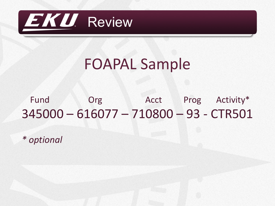

#### FOAPAL Sample

#### Fund Org Acct Prog Activity\* 345000 – 616077 – 710800 – 93 - CTR501

*\* optional*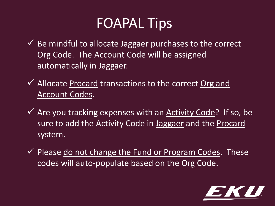#### FOAPAL Tips

- $\checkmark$  Be mindful to allocate Jaggaer purchases to the correct Org Code. The Account Code will be assigned automatically in Jaggaer.
- $\checkmark$  Allocate Procard transactions to the correct Org and Account Codes.
- $\checkmark$  Are you tracking expenses with an Activity Code? If so, be sure to add the Activity Code in Jaggaer and the Procard system.
- $\checkmark$  Please do not change the Fund or Program Codes. These codes will auto-populate based on the Org Code.